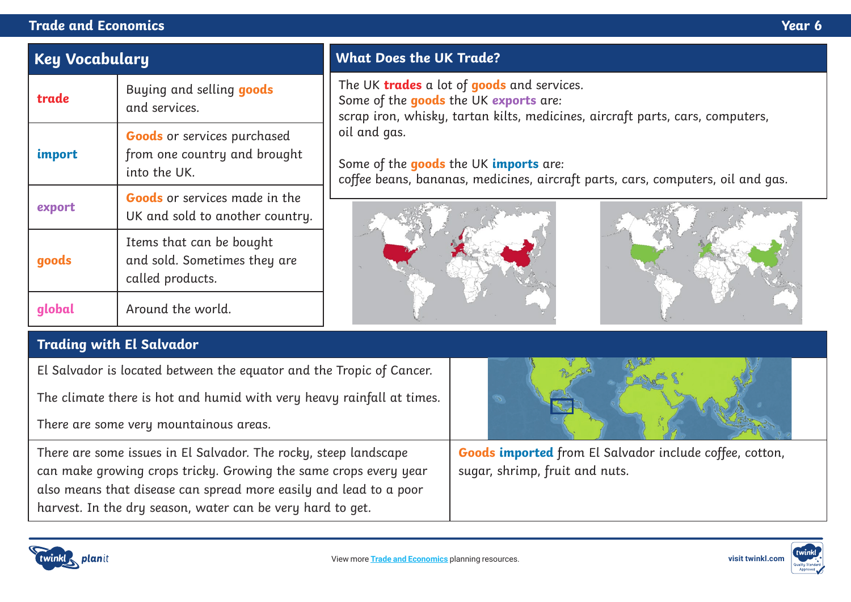### **Trade and Economics Year 6**

# **Key Vocabulary**

| trade  | Buying and selling goods<br>and services.                                          |
|--------|------------------------------------------------------------------------------------|
| import | <b>Goods</b> or services purchased<br>from one country and brought<br>into the UK. |
| export | <b>Goods</b> or services made in the<br>UK and sold to another country.            |
| goods  | Items that can be bought<br>and sold. Sometimes they are<br>called products.       |
|        | Around the world.                                                                  |

# **What Does the UK Trade?**

The UK **trades** a lot of **goods** and services. Some of the **goods** the UK **exports** are:

scrap iron, whisky, tartan kilts, medicines, aircraft parts, cars, computers, oil and gas.

#### Some of the **goods** the UK **imports** are:

coffee beans, bananas, medicines, aircraft parts, cars, computers, oil and gas.





# **Trading with El Salvador**

El Salvador is located between the equator and the Tropic of Cancer.

The climate there is hot and humid with very heavy rainfall at times.

There are some very mountainous areas.

There are some issues in El Salvador. The rocky, steep landscape can make growing crops tricky. Growing the same crops every year also means that disease can spread more easily and lead to a poor harvest. In the dry season, water can be very hard to get.

**Goods imported** from El Salvador include coffee, cotton, sugar, shrimp, fruit and nuts.